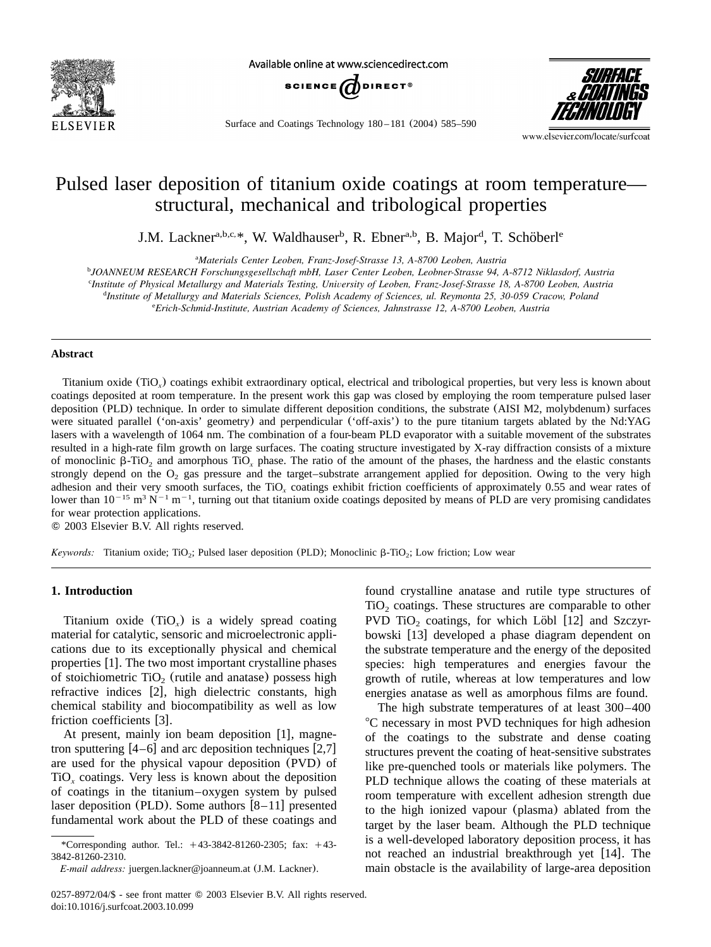

Available online at www.sciencedirect.com



Surface and Coatings Technology 180 – 181 (2004) 585–590

*SURFACE* & COATINGS

www.elsevier.com/locate/surfcoat

# Pulsed laser deposition of titanium oxide coatings at room temperature structural, mechanical and tribological properties

J.M. Lackner<sup>a,b,c,\*</sup>, W. Waldhauser<sup>b</sup>, R. Ebner<sup>a,b</sup>, B. Major<sup>d</sup>, T. Schöberl<sup>e</sup>

*Materials Center Leoben, Franz-Josef-Strasse 13, A-8700 Leoben, Austria* <sup>a</sup>

*JOANNEUM RESEARCH Forschungsgesellschaft mbH, Laser Center Leoben, Leobner-Strasse 94, A-8712 Niklasdorf, Austria* <sup>b</sup>

*Institute of Physical Metallurgy and Materials Testing, University of Leoben, Franz-Josef-Strasse 18, A-8700 Leoben, Austria* <sup>c</sup>

*Institute of Metallurgy and Materials Sciences, Polish Academy of Sciences, ul. Reymonta 25, 30-059 Cracow, Poland* <sup>d</sup>

*Erich-Schmid-Institute, Austrian Academy of Sciences, Jahnstrasse 12, A-8700 Leoben, Austria* <sup>e</sup>

## **Abstract**

Titanium oxide  $(TiO_x)$  coatings exhibit extraordinary optical, electrical and tribological properties, but very less is known about coatings deposited at room temperature. In the present work this gap was closed by employing the room temperature pulsed laser deposition (PLD) technique. In order to simulate different deposition conditions, the substrate (AISI M2, molybdenum) surfaces were situated parallel ('on-axis' geometry) and perpendicular ('off-axis') to the pure titaniumtargets ablated by the Nd:YAG lasers with a wavelength of 1064 nm. The combination of a four-beam PLD evaporator with a suitable movement of the substrates resulted in a high-rate film growth on large surfaces. The coating structure investigated by X-ray diffraction consists of a mixture of monoclinic  $\beta$ -TiO<sub>2</sub> and amorphous TiO<sub>x</sub> phase. The ratio of the amount of the phases, the hardness and the elastic constants strongly depend on the  $O_2$  gas pressure and the target–substrate arrangement applied for deposition. Owing to the very high adhesion and their very smooth surfaces, the TiO<sub>x</sub> coatings exhibit friction coefficients of approximately 0.55 and wear rates of lower than  $10^{-15}$  m<sup>3</sup> N<sup>-1</sup> m<sup>-1</sup>, turning out that titanium oxide coatings deposited by means of PLD are very promising candidates for wear protection applications.

2003 Elsevier B.V. All rights reserved.

*Keywords:* Titanium oxide; TiO<sub>2</sub>; Pulsed laser deposition (PLD); Monoclinic  $\beta$ -TiO<sub>2</sub>; Low friction; Low wear

## **1. Introduction**

Titanium oxide  $(TiO<sub>x</sub>)$  is a widely spread coating material for catalytic, sensoric and microelectronic applications due to its exceptionally physical and chemical properties  $[1]$  $[1]$  $[1]$ . The two most important crystalline phases of stoichiometric  $TiO<sub>2</sub>$  (rutile and anatase) possess high refractive indices [[2](#page-5-0)], high dielectric constants, high chemical stability and biocompatibility as well as low friction coefficients [[3](#page-5-0)].

At present, mainly ion beam deposition  $[1]$  $[1]$  $[1]$ , magnetron sputtering  $[4–6]$  $[4–6]$  $[4–6]$  and arc deposition techniques  $[2,7]$  $[2,7]$  $[2,7]$ are used for the physical vapour deposition (PVD) of  $TiO<sub>x</sub>$  coatings. Very less is known about the deposition of coatings in the titanium–oxygen system by pulsed laser deposition (PLD). Some authors  $[8-11]$  presented fundamental work about the PLD of these coatings and

found crystalline anatase and rutile type structures of  $TiO<sub>2</sub>$  coatings. These structures are comparable to other PVD TiO<sub>2</sub> coatings, for which Löbl  $[12]$  $[12]$  $[12]$  and Szczyr-bowski [[13](#page-5-0)] developed a phase diagram dependent on the substrate temperature and the energy of the deposited species: high temperatures and energies favour the growth of rutile, whereas at low temperatures and low energies anatase as well as amorphous films are found.

The high substrate temperatures of at least 300–400 8C necessary in most PVD techniques for high adhesion of the coatings to the substrate and dense coating structures prevent the coating of heat-sensitive substrates like pre-quenched tools or materials like polymers. The PLD technique allows the coating of these materials at room temperature with excellent adhesion strength due to the high ionized vapour (plasma) ablated fromthe target by the laser beam. Although the PLD technique is a well-developed laboratory deposition process, it has not reached an industrial breakthrough yet  $[14]$  $[14]$  $[14]$ . The main obstacle is the availability of large-area deposition

<sup>\*</sup>Corresponding author. Tel.:  $+43-3842-81260-2305$ ; fax:  $+43-$ 3842-81260-2310.

*E-mail address:* juergen.lackner@joanneum.at (J.M. Lackner).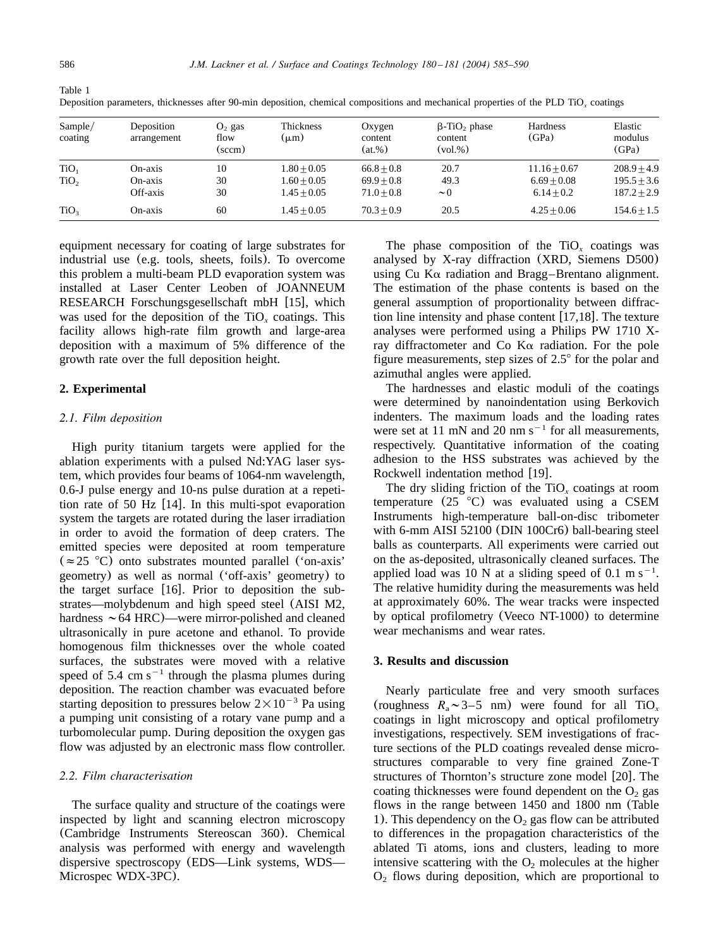| Sample/<br>coating                   | Deposition<br>arrangement      | $O2$ gas<br>flow<br>(sccm) | Thickness<br>(աm)                               | Oxygen<br>content<br>$(at. \%)$              | $\beta$ -TiO <sub>2</sub> phase<br>content<br>$\left(\text{vol.}\%\right)$ | Hardness<br>(GPa)                               | Elastic<br>modulus<br>(GPa)                     |
|--------------------------------------|--------------------------------|----------------------------|-------------------------------------------------|----------------------------------------------|----------------------------------------------------------------------------|-------------------------------------------------|-------------------------------------------------|
| TiO <sub>1</sub><br>TiO <sub>2</sub> | On-axis<br>On-axis<br>Off-axis | 10<br>30<br>30             | $1.80 + 0.05$<br>$1.60 + 0.05$<br>$1.45 + 0.05$ | $66.8 + 0.8$<br>$69.9 + 0.8$<br>$71.0 + 0.8$ | 20.7<br>49.3<br>$\sim$ 0                                                   | $11.16 + 0.67$<br>$6.69 + 0.08$<br>$6.14 + 0.2$ | $208.9 + 4.9$<br>$195.5 + 3.6$<br>$187.2 + 2.9$ |
| TiO <sub>3</sub>                     | On-axis                        | 60                         | $1.45 + 0.05$                                   | $70.3 + 0.9$                                 | 20.5                                                                       | $4.25 + 0.06$                                   | $154.6 + 1.5$                                   |

Deposition parameters, thicknesses after 90-min deposition, chemical compositions and mechanical properties of the PLD TiO<sub>x</sub> coatings

equipment necessary for coating of large substrates for industrial use (e.g. tools, sheets, foils). To overcome this problem a multi-beam PLD evaporation system was installed at Laser Center Leoben of JOANNEUM RESEARCH Forschungsgesellschaft mbH  $[15]$  $[15]$  $[15]$ , which was used for the deposition of the TiO<sub>x</sub> coatings. This facility allows high-rate film growth and large-area deposition with a maximum of 5% difference of the growth rate over the full deposition height.

## **2. Experimental**

### *2.1. Film deposition*

High purity titanium targets were applied for the ablation experiments with a pulsed Nd:YAG laser system, which provides four beams of 1064-nm wavelength, 0.6-J pulse energy and 10-ns pulse duration at a repetition rate of 50 Hz  $[14]$  $[14]$  $[14]$ . In this multi-spot evaporation system the targets are rotated during the laser irradiation in order to avoid the formation of deep craters. The emitted species were deposited at room temperature  $(\approx 25 \text{ °C})$  onto substrates mounted parallel ('on-axis' geometry) as well as normal ('off-axis' geometry) to the target surface  $[16]$  $[16]$  $[16]$ . Prior to deposition the substrates—molybdenum and high speed steel (AISI M2, hardness  $\sim$  64 HRC)—were mirror-polished and cleaned ultrasonically in pure acetone and ethanol. To provide homogenous film thicknesses over the whole coated surfaces, the substrates were moved with a relative speed of 5.4 cm  $s^{-1}$  through the plasma plumes during deposition. The reaction chamber was evacuated before starting deposition to pressures below  $2\times10^{-3}$  Pa using a pumping unit consisting of a rotary vane pump and a turbomolecular pump. During deposition the oxygen gas flow was adjusted by an electronic mass flow controller.

#### *2.2. Film characterisation*

The surface quality and structure of the coatings were inspected by light and scanning electron microscopy (Cambridge Instruments Stereoscan 360). Chemical analysis was performed with energy and wavelength dispersive spectroscopy (EDS—Link systems, WDS— Microspec WDX-3PC).

The phase composition of the TiO<sub>x</sub> coatings was analysed by X-ray diffraction (XRD, Siemens D500) using Cu  $K\alpha$  radiation and Bragg–Brentano alignment. The estimation of the phase contents is based on the general assumption of proportionality between diffraction line intensity and phase content  $[17,18]$  $[17,18]$  $[17,18]$ . The texture analyses were performed using a Philips PW 1710 Xray diffractometer and Co  $K\alpha$  radiation. For the pole figure measurements, step sizes of  $2.5^{\circ}$  for the polar and azimuthal angles were applied.

The hardnesses and elastic moduli of the coatings were determined by nanoindentation using Berkovich indenters. The maximum loads and the loading rates were set at 11 mN and 20 nm  $s^{-1}$  for all measurements, respectively. Quantitative information of the coating adhesion to the HSS substrates was achieved by the Rockwell indentation method [[19](#page-5-0)].

The dry sliding friction of the  $TiO<sub>x</sub>$  coatings at room temperature  $(25 \text{ °C})$  was evaluated using a CSEM Instruments high-temperature ball-on-disc tribometer with 6-mm AISI 52100 (DIN 100Cr6) ball-bearing steel balls as counterparts. All experiments were carried out on the as-deposited, ultrasonically cleaned surfaces. The applied load was 10 N at a sliding speed of 0.1 m s<sup>-1</sup>. The relative humidity during the measurements was held at approximately 60%. The wear tracks were inspected by optical profilometry (Veeco NT-1000) to determine wear mechanisms and wear rates.

## **3. Results and discussion**

Nearly particulate free and very smooth surfaces (roughness  $R_a \sim 3-5$  nm) were found for all TiO<sub>x</sub> coatings in light microscopy and optical profilometry investigations, respectively. SEM investigations of fracture sections of the PLD coatings revealed dense microstructures comparable to very fine grained Zone-T structures of Thornton's structure zone model [[20](#page-5-0)]. The coating thicknesses were found dependent on the  $O<sub>2</sub>$  gas flows in the range between 1450 and 1800 nm (Table 1). This dependency on the  $O<sub>2</sub>$  gas flow can be attributed to differences in the propagation characteristics of the ablated Ti atoms, ions and clusters, leading to more intensive scattering with the  $O<sub>2</sub>$  molecules at the higher  $O<sub>2</sub>$  flows during deposition, which are proportional to

<span id="page-1-0"></span>Table 1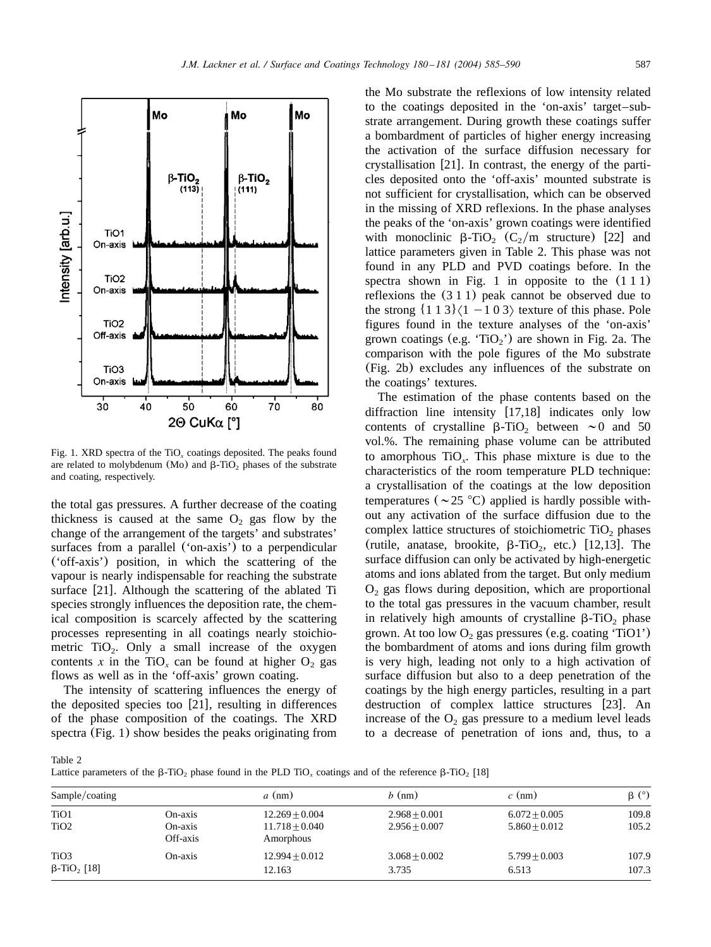<span id="page-2-0"></span>

Fig. 1. XRD spectra of the TiO<sub>x</sub> coatings deposited. The peaks found are related to molybdenum (Mo) and  $\beta$ -TiO<sub>2</sub> phases of the substrate and coating, respectively.

the total gas pressures. A further decrease of the coating thickness is caused at the same  $O<sub>2</sub>$  gas flow by the change of the arrangement of the targets' and substrates' surfaces from a parallel ('on-axis') to a perpendicular ('off-axis') position, in which the scattering of the vapour is nearly indispensable for reaching the substrate surface  $[21]$  $[21]$  $[21]$ . Although the scattering of the ablated Ti species strongly influences the deposition rate, the chemical composition is scarcely affected by the scattering processes representing in all coatings nearly stoichiometric  $TiO<sub>2</sub>$ . Only a small increase of the oxygen contents x in the TiO<sub>x</sub> can be found at higher  $O_2$  gas flows as well as in the 'off-axis' grown coating.

The intensity of scattering influences the energy of the deposited species too  $[21]$  $[21]$  $[21]$ , resulting in differences of the phase composition of the coatings. The XRD spectra (Fig. 1) show besides the peaks originating from

the Mo substrate the reflexions of low intensity related to the coatings deposited in the 'on-axis' target–substrate arrangement. During growth these coatings suffer a bombardment of particles of higher energy increasing the activation of the surface diffusion necessary for crystallisation  $[21]$  $[21]$  $[21]$ . In contrast, the energy of the particles deposited onto the 'off-axis' mounted substrate is not sufficient for crystallisation, which can be observed in the missing of XRD reflexions. In the phase analyses the peaks of the 'on-axis' grown coatings were identified with monoclinic  $\beta$ -TiO<sub>2</sub> (C<sub>2</sub>/m structure) [[22](#page-5-0)] and lattice parameters given in Table 2. This phase was not found in any PLD and PVD coatings before. In the spectra shown in Fig. 1 in opposite to the  $(1\ 1\ 1)$ reflexions the (311) peak cannot be observed due to the strong  $\{113\}\langle1-103\rangle$  texture of this phase. Pole figures found in the texture analyses of the 'on-axis' grown coatings (e.g. 'TiO<sub>2</sub>') are shown in [Fig. 2a](#page-3-0). The comparison with the pole figures of the Mo substrate ([Fig. 2b](#page-3-0)) excludes any influences of the substrate on the coatings' textures.

The estimation of the phase contents based on the diffraction line intensity  $[17,18]$  $[17,18]$  $[17,18]$  indicates only low contents of crystalline  $\beta$ -TiO<sub>2</sub> between  $\sim$ 0 and 50 vol.%. The remaining phase volume can be attributed to amorphous  $TiO<sub>x</sub>$ . This phase mixture is due to the characteristics of the room temperature PLD technique: a crystallisation of the coatings at the low deposition temperatures ( $\sim$  25 °C) applied is hardly possible without any activation of the surface diffusion due to the complex lattice structures of stoichiometric  $TiO<sub>2</sub>$  phases (rutile, anatase, brookite,  $\beta$ -TiO<sub>2</sub>, etc.) [[12,13](#page-5-0)]. The surface diffusion can only be activated by high-energetic atoms and ions ablated from the target. But only medium  $O<sub>2</sub>$  gas flows during deposition, which are proportional to the total gas pressures in the vacuum chamber, result in relatively high amounts of crystalline  $\beta$ -TiO<sub>2</sub> phase grown. At too low  $O_2$  gas pressures (e.g. coating 'TiO1') the bombardment of atoms and ions during film growth is very high, leading not only to a high activation of surface diffusion but also to a deep penetration of the coatings by the high energy particles, resulting in a part destruction of complex lattice structures  $[23]$  $[23]$  $[23]$ . An increase of the  $O<sub>2</sub>$  gas pressure to a medium level leads to a decrease of penetration of ions and, thus, to a

Table 2

Lattice parameters of the  $\beta$ -TiO<sub>2</sub> phase found in the PLD TiO<sub>x</sub> coatings and of the reference  $\beta$ -TiO<sub>2</sub> [[18](#page-5-0)]

| Sample/coating                                 |                                | $a$ (nm)                                          | $b \text{ (nm)}$                   | $c \text{ (nm)}$                   | $\beta$ (°)    |
|------------------------------------------------|--------------------------------|---------------------------------------------------|------------------------------------|------------------------------------|----------------|
| TiO1<br>TiO <sub>2</sub>                       | On-axis<br>On-axis<br>Off-axis | $12.269 + 0.004$<br>$11.718 + 0.040$<br>Amorphous | $2.968 + 0.001$<br>$2.956 + 0.007$ | $6.072 + 0.005$<br>$5.860 + 0.012$ | 109.8<br>105.2 |
| TiO <sub>3</sub><br>$β$ -TiO <sub>2</sub> [18] | On-axis                        | $12.994 + 0.012$<br>12.163                        | $3.068 + 0.002$<br>3.735           | $5.799 + 0.003$<br>6.513           | 107.9<br>107.3 |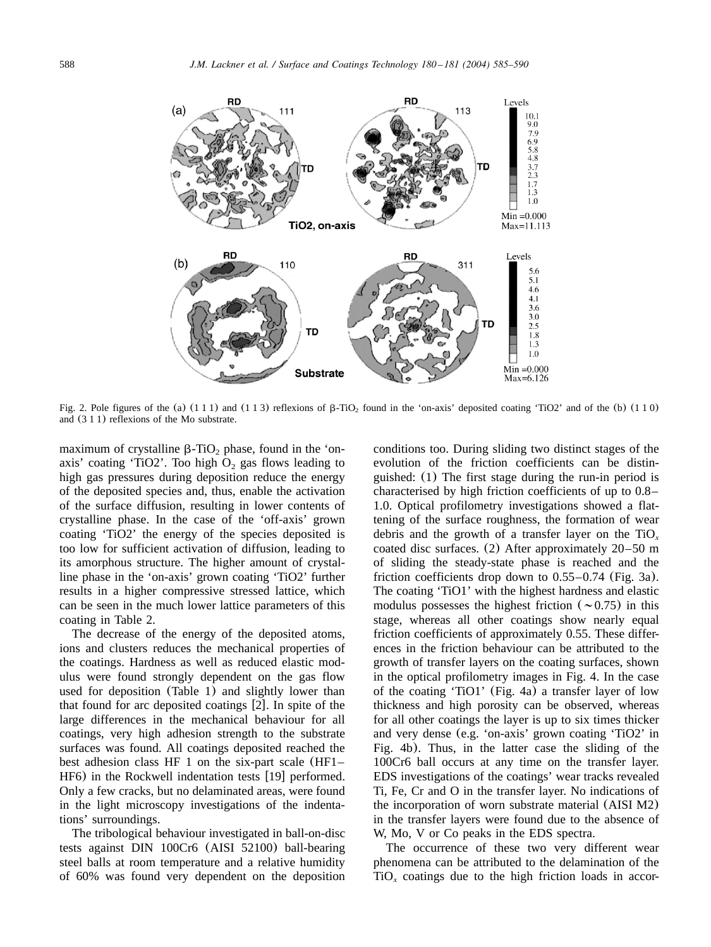<span id="page-3-0"></span>

Fig. 2. Pole figures of the (a)  $(111)$  and  $(113)$  reflexions of  $\beta$ -TiO<sub>2</sub> found in the 'on-axis' deposited coating 'TiO2' and of the (b)  $(110)$ and (311) reflexions of the Mo substrate.

maximum of crystalline  $\beta$ -TiO<sub>2</sub> phase, found in the 'onaxis' coating 'TiO2'. Too high  $O<sub>2</sub>$  gas flows leading to high gas pressures during deposition reduce the energy of the deposited species and, thus, enable the activation of the surface diffusion, resulting in lower contents of crystalline phase. In the case of the 'off-axis' grown coating 'TiO2' the energy of the species deposited is too low for sufficient activation of diffusion, leading to its amorphous structure. The higher amount of crystalline phase in the 'on-axis' grown coating 'TiO2' further results in a higher compressive stressed lattice, which can be seen in the much lower lattice parameters of this coating in [Table 2.](#page-2-0)

The decrease of the energy of the deposited atoms, ions and clusters reduces the mechanical properties of the coatings. Hardness as well as reduced elastic modulus were found strongly dependent on the gas flow used for deposition ([Table 1](#page-1-0)) and slightly lower than that found for arc deposited coatings  $[2]$  $[2]$  $[2]$ . In spite of the large differences in the mechanical behaviour for all coatings, very high adhesion strength to the substrate surfaces was found. All coatings deposited reached the best adhesion class HF 1 on the six-part scale (HF1–  $HF<sub>6</sub>$ ) in the Rockwell indentation tests [[19](#page-5-0)] performed. Only a few cracks, but no delaminated areas, were found in the light microscopy investigations of the indentations' surroundings.

The tribological behaviour investigated in ball-on-disc tests against DIN 100Cr6 (AISI 52100) ball-bearing steel balls at room temperature and a relative humidity of 60% was found very dependent on the deposition conditions too. During sliding two distinct stages of the evolution of the friction coefficients can be distinguished: (1) The first stage during the run-in period is characterised by high friction coefficients of up to 0.8– 1.0. Optical profilometry investigations showed a flattening of the surface roughness, the formation of wear debris and the growth of a transfer layer on the TiO*<sup>x</sup>* coated disc surfaces. (2) After approximately 20–50 m of sliding the steady-state phase is reached and the friction coefficients drop down to 0.55–0.74 ([Fig. 3a](#page-4-0)). The coating 'TiO1' with the highest hardness and elastic modulus possesses the highest friction ( $\sim$ 0.75) in this stage, whereas all other coatings show nearly equal friction coefficients of approximately 0.55. These differences in the friction behaviour can be attributed to the growth of transfer layers on the coating surfaces, shown in the optical profilometry images in [Fig. 4.](#page-4-0) In the case of the coating 'TiO1' ([Fig. 4a](#page-4-0)) a transfer layer of low thickness and high porosity can be observed, whereas for all other coatings the layer is up to six times thicker and very dense (e.g. 'on-axis' grown coating 'TiO2' in [Fig. 4b](#page-4-0)). Thus, in the latter case the sliding of the 100Cr6 ball occurs at any time on the transfer layer. EDS investigations of the coatings' wear tracks revealed Ti, Fe, Cr and O in the transfer layer. No indications of the incorporation of worn substrate material (AISI M2) in the transfer layers were found due to the absence of W, Mo, V or Co peaks in the EDS spectra.

The occurrence of these two very different wear phenomena can be attributed to the delamination of the  $TiO<sub>x</sub>$  coatings due to the high friction loads in accor-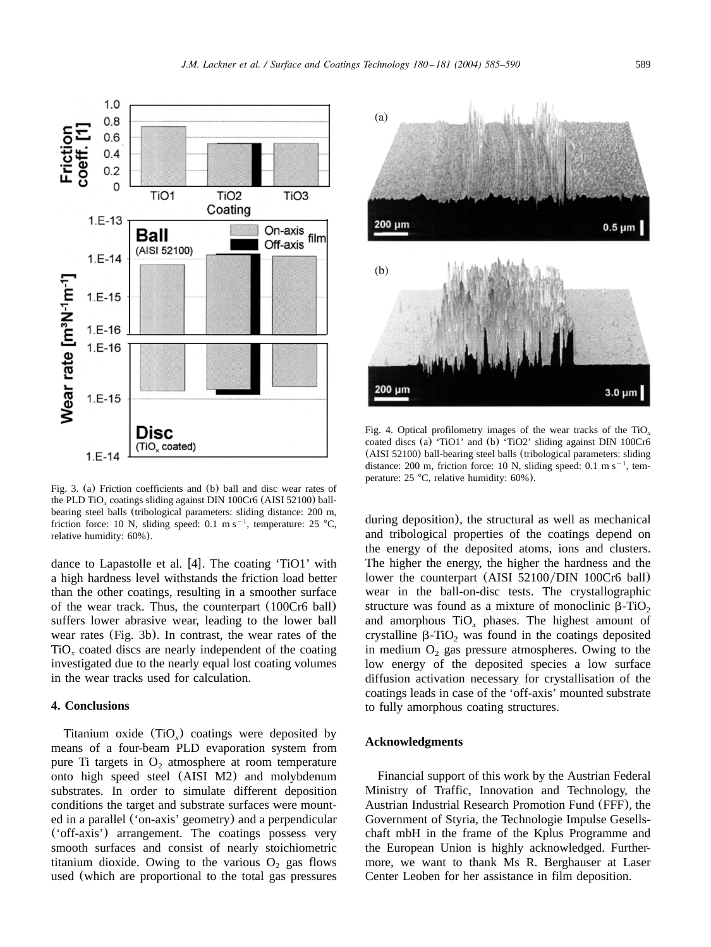<span id="page-4-0"></span>

Fig. 3. (a) Friction coefficients and (b) ball and disc wear rates of the PLD  $\text{TiO}_x$  coatings sliding against DIN 100Cr6 (AISI 52100) ballbearing steel balls (tribological parameters: sliding distance: 200 m, friction force: 10 N, sliding speed: 0.1 m s<sup>-1</sup>, temperature: 25 °C, relative humidity: 60%).

dance to Lapastolle et al.  $[4]$  $[4]$  $[4]$ . The coating 'TiO1' with a high hardness level withstands the friction load better than the other coatings, resulting in a smoother surface of the wear track. Thus, the counterpart (100Cr6 ball) suffers lower abrasive wear, leading to the lower ball wear rates (Fig. 3b). In contrast, the wear rates of the  $TiO<sub>x</sub>$  coated discs are nearly independent of the coating investigated due to the nearly equal lost coating volumes in the wear tracks used for calculation.

# **4. Conclusions**

Titanium oxide (TiO<sub>x</sub>) coatings were deposited by means of a four-beam PLD evaporation system from pure Ti targets in  $O<sub>2</sub>$  atmosphere at room temperature onto high speed steel (AISI M2) and molybdenum substrates. In order to simulate different deposition conditions the target and substrate surfaces were mounted in a parallel ('on-axis' geometry) and a perpendicular ('off-axis') arrangement. The coatings possess very smooth surfaces and consist of nearly stoichiometric titanium dioxide. Owing to the various  $O_2$  gas flows used (which are proportional to the total gas pressures



Fig. 4. Optical profilometry images of the wear tracks of the TiO*<sup>x</sup>* coated discs (a) 'TiO1' and (b) 'TiO2' sliding against DIN 100Cr6 (AISI 52100) ball-bearing steel balls (tribological parameters: sliding distance: 200 m, friction force: 10 N, sliding speed:  $0.1 \text{ m s}^{-1}$ , temperature:  $25 \text{ °C}$ , relative humidity:  $60\%$ ).

during deposition), the structural as well as mechanical and tribological properties of the coatings depend on the energy of the deposited atoms, ions and clusters. The higher the energy, the higher the hardness and the lower the counterpart (AISI 52100/DIN 100Cr6 ball) wear in the ball-on-disc tests. The crystallographic structure was found as a mixture of monoclinic  $\beta$ -TiO<sub>2</sub> and amorphous  $TiO<sub>r</sub>$  phases. The highest amount of crystalline  $\beta$ -TiO<sub>2</sub> was found in the coatings deposited in medium  $O<sub>2</sub>$  gas pressure atmospheres. Owing to the low energy of the deposited species a low surface diffusion activation necessary for crystallisation of the coatings leads in case of the 'off-axis' mounted substrate to fully amorphous coating structures.

## **Acknowledgments**

Financial support of this work by the Austrian Federal Ministry of Traffic, Innovation and Technology, the Austrian Industrial Research Promotion Fund (FFF), the Government of Styria, the Technologie Impulse Gesellschaft mbH in the frame of the Kplus Programme and the European Union is highly acknowledged. Furthermore, we want to thank Ms R. Berghauser at Laser Center Leoben for her assistance in film deposition.